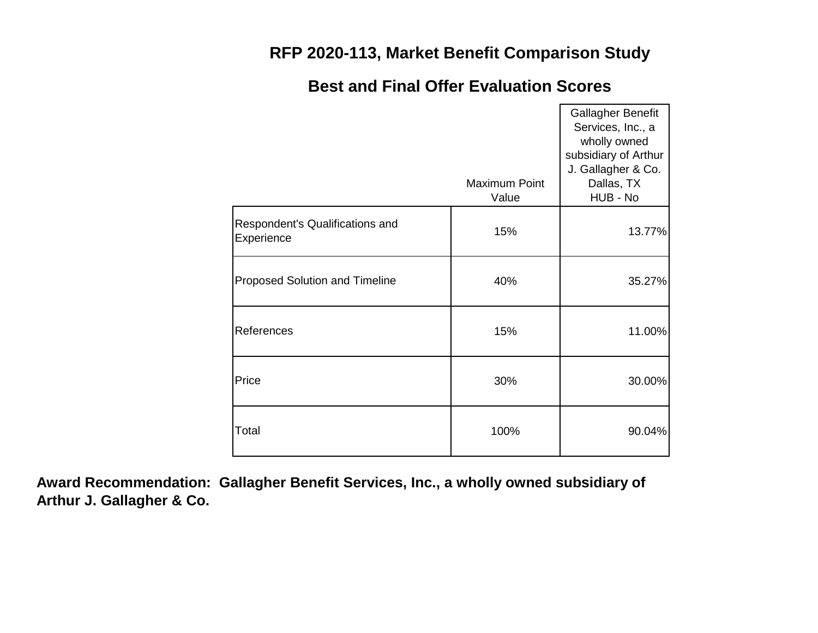### **RFP 2020-113, Market Benefit Comparison Study**

#### Maximum Point Value Gallagher Benefit Services, Inc., a wholly owned subsidiary of Arthur J. Gallagher & Co. Dallas, TX HUB - No 15% 13.77% 40% 35.27% 15% 11.00% 30% 30.00% 100% 90.04% Respondent's Qualifications and **Experience** Proposed Solution and Timeline References **Price** Total

### **Best and Final Offer Evaluation Scores**

**Award Recommendation: Gallagher Benefit Services, Inc., a wholly owned subsidiary of Arthur J. Gallagher & Co.**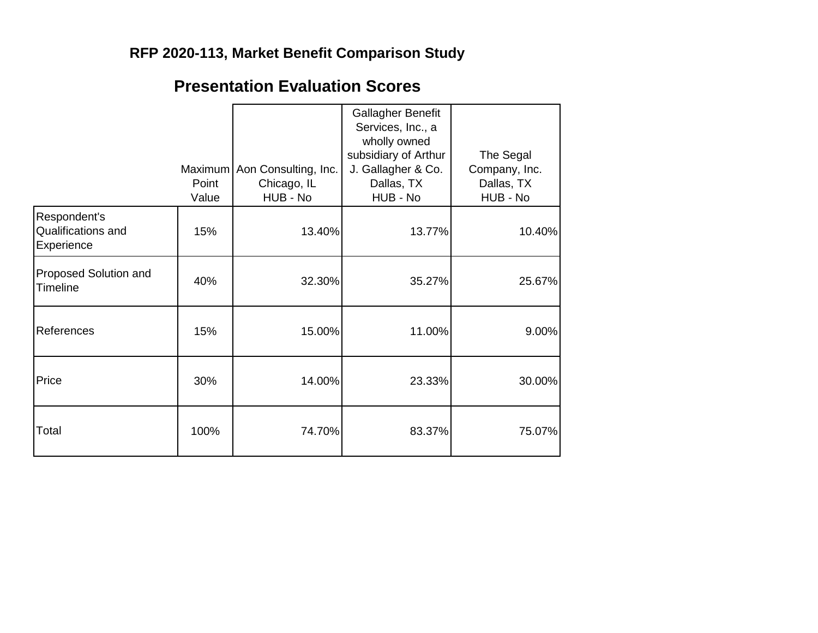## **RFP 2020-113, Market Benefit Comparison Study**

# **Presentation Evaluation Scores**

|                                                  | Point<br>Value | Maximum   Aon Consulting, Inc.<br>Chicago, IL<br>HUB - No | Gallagher Benefit<br>Services, Inc., a<br>wholly owned<br>subsidiary of Arthur<br>J. Gallagher & Co.<br>Dallas, TX<br>HUB - No | The Segal<br>Company, Inc.<br>Dallas, TX<br>HUB - No |
|--------------------------------------------------|----------------|-----------------------------------------------------------|--------------------------------------------------------------------------------------------------------------------------------|------------------------------------------------------|
| Respondent's<br>Qualifications and<br>Experience | 15%            | 13.40%                                                    | 13.77%                                                                                                                         | 10.40%                                               |
| Proposed Solution and<br>Timeline                | 40%            | 32.30%                                                    | 35.27%                                                                                                                         | 25.67%                                               |
| References                                       | 15%            | 15.00%                                                    | 11.00%                                                                                                                         | 9.00%                                                |
| Price                                            | 30%            | 14.00%                                                    | 23.33%                                                                                                                         | 30.00%                                               |
| Total                                            | 100%           | 74.70%                                                    | 83.37%                                                                                                                         | 75.07%                                               |